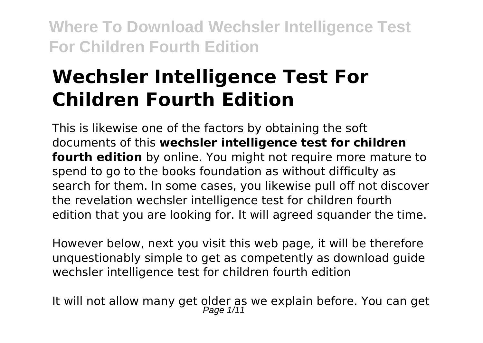# **Wechsler Intelligence Test For Children Fourth Edition**

This is likewise one of the factors by obtaining the soft documents of this **wechsler intelligence test for children fourth edition** by online. You might not require more mature to spend to go to the books foundation as without difficulty as search for them. In some cases, you likewise pull off not discover the revelation wechsler intelligence test for children fourth edition that you are looking for. It will agreed squander the time.

However below, next you visit this web page, it will be therefore unquestionably simple to get as competently as download guide wechsler intelligence test for children fourth edition

It will not allow many get older as we explain before. You can get<br>Page 1/11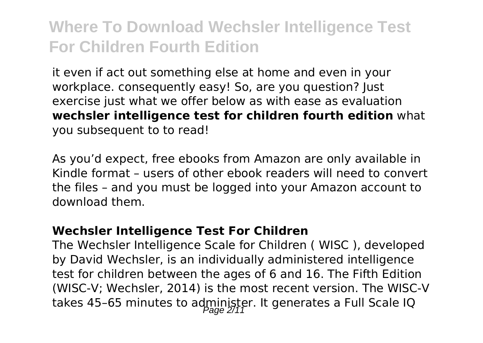it even if act out something else at home and even in your workplace. consequently easy! So, are you question? Just exercise just what we offer below as with ease as evaluation **wechsler intelligence test for children fourth edition** what you subsequent to to read!

As you'd expect, free ebooks from Amazon are only available in Kindle format – users of other ebook readers will need to convert the files – and you must be logged into your Amazon account to download them.

#### **Wechsler Intelligence Test For Children**

The Wechsler Intelligence Scale for Children ( WISC ), developed by David Wechsler, is an individually administered intelligence test for children between the ages of 6 and 16. The Fifth Edition (WISC-V; Wechsler, 2014) is the most recent version. The WISC-V takes 45-65 minutes to administer. It generates a Full Scale IQ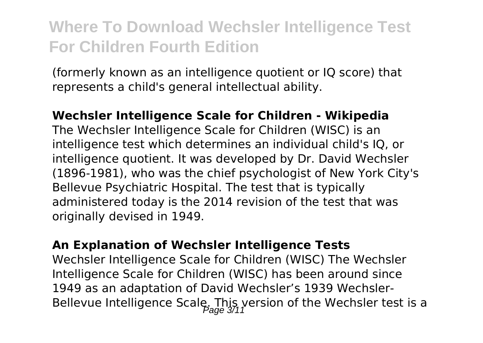(formerly known as an intelligence quotient or IQ score) that represents a child's general intellectual ability.

#### **Wechsler Intelligence Scale for Children - Wikipedia**

The Wechsler Intelligence Scale for Children (WISC) is an intelligence test which determines an individual child's IQ, or intelligence quotient. It was developed by Dr. David Wechsler (1896-1981), who was the chief psychologist of New York City's Bellevue Psychiatric Hospital. The test that is typically administered today is the 2014 revision of the test that was originally devised in 1949.

#### **An Explanation of Wechsler Intelligence Tests**

Wechsler Intelligence Scale for Children (WISC) The Wechsler Intelligence Scale for Children (WISC) has been around since 1949 as an adaptation of David Wechsler's 1939 Wechsler-Bellevue Intelligence Scale. This version of the Wechsler test is a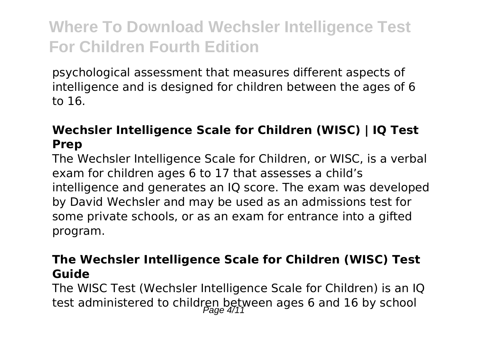psychological assessment that measures different aspects of intelligence and is designed for children between the ages of 6 to 16.

### **Wechsler Intelligence Scale for Children (WISC) | IQ Test Prep**

The Wechsler Intelligence Scale for Children, or WISC, is a verbal exam for children ages 6 to 17 that assesses a child's intelligence and generates an IQ score. The exam was developed by David Wechsler and may be used as an admissions test for some private schools, or as an exam for entrance into a gifted program.

#### **The Wechsler Intelligence Scale for Children (WISC) Test Guide**

The WISC Test (Wechsler Intelligence Scale for Children) is an IQ test administered to children between ages 6 and 16 by school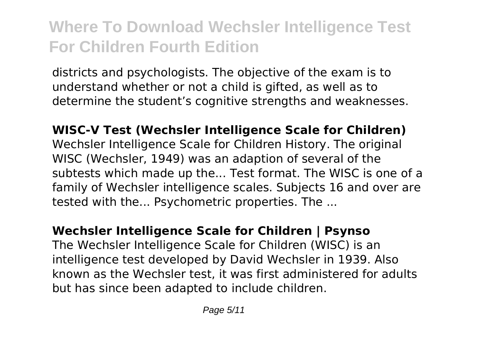districts and psychologists. The objective of the exam is to understand whether or not a child is gifted, as well as to determine the student's cognitive strengths and weaknesses.

**WISC-V Test (Wechsler Intelligence Scale for Children)** Wechsler Intelligence Scale for Children History. The original WISC (Wechsler, 1949) was an adaption of several of the subtests which made up the... Test format. The WISC is one of a family of Wechsler intelligence scales. Subjects 16 and over are tested with the... Psychometric properties. The ...

### **Wechsler Intelligence Scale for Children | Psynso**

The Wechsler Intelligence Scale for Children (WISC) is an intelligence test developed by David Wechsler in 1939. Also known as the Wechsler test, it was first administered for adults but has since been adapted to include children.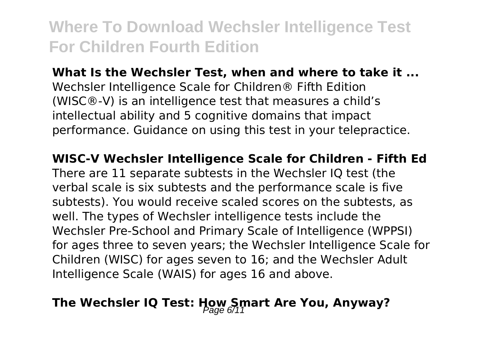**What Is the Wechsler Test, when and where to take it ...** Wechsler Intelligence Scale for Children® Fifth Edition (WISC®-V) is an intelligence test that measures a child's intellectual ability and 5 cognitive domains that impact performance. Guidance on using this test in your telepractice.

#### **WISC-V Wechsler Intelligence Scale for Children - Fifth Ed**

There are 11 separate subtests in the Wechsler IQ test (the verbal scale is six subtests and the performance scale is five subtests). You would receive scaled scores on the subtests, as well. The types of Wechsler intelligence tests include the Wechsler Pre-School and Primary Scale of Intelligence (WPPSI) for ages three to seven years; the Wechsler Intelligence Scale for Children (WISC) for ages seven to 16; and the Wechsler Adult Intelligence Scale (WAIS) for ages 16 and above.

### The Wechsler IQ Test: How Smart Are You, Anyway?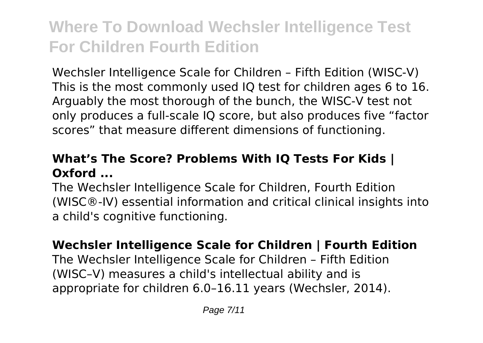Wechsler Intelligence Scale for Children – Fifth Edition (WISC-V) This is the most commonly used IQ test for children ages 6 to 16. Arguably the most thorough of the bunch, the WISC-V test not only produces a full-scale IQ score, but also produces five "factor scores" that measure different dimensions of functioning.

### **What's The Score? Problems With IQ Tests For Kids | Oxford ...**

The Wechsler Intelligence Scale for Children, Fourth Edition (WISC®-IV) essential information and critical clinical insights into a child's cognitive functioning.

### **Wechsler Intelligence Scale for Children | Fourth Edition**

The Wechsler Intelligence Scale for Children – Fifth Edition (WISC–V) measures a child's intellectual ability and is appropriate for children 6.0–16.11 years (Wechsler, 2014).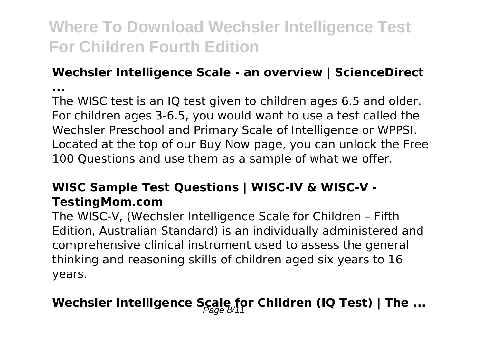### **Wechsler Intelligence Scale - an overview | ScienceDirect ...**

The WISC test is an IQ test given to children ages 6.5 and older. For children ages 3-6.5, you would want to use a test called the Wechsler Preschool and Primary Scale of Intelligence or WPPSI. Located at the top of our Buy Now page, you can unlock the Free 100 Questions and use them as a sample of what we offer.

### **WISC Sample Test Questions | WISC-IV & WISC-V - TestingMom.com**

The WISC-V, (Wechsler Intelligence Scale for Children – Fifth Edition, Australian Standard) is an individually administered and comprehensive clinical instrument used to assess the general thinking and reasoning skills of children aged six years to 16 years.

### Wechsler Intelligence Scale for Children (IQ Test) | The ...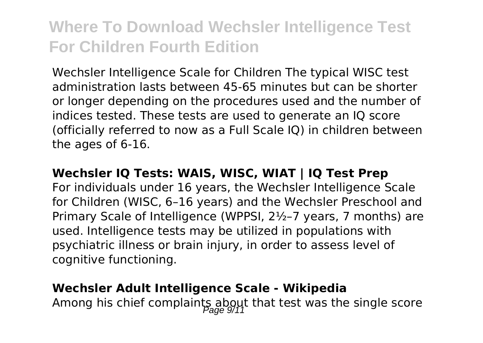Wechsler Intelligence Scale for Children The typical WISC test administration lasts between 45-65 minutes but can be shorter or longer depending on the procedures used and the number of indices tested. These tests are used to generate an IQ score (officially referred to now as a Full Scale IQ) in children between the ages of 6-16.

#### **Wechsler IQ Tests: WAIS, WISC, WIAT | IQ Test Prep**

For individuals under 16 years, the Wechsler Intelligence Scale for Children (WISC, 6–16 years) and the Wechsler Preschool and Primary Scale of Intelligence (WPPSI, 2½–7 years, 7 months) are used. Intelligence tests may be utilized in populations with psychiatric illness or brain injury, in order to assess level of cognitive functioning.

#### **Wechsler Adult Intelligence Scale - Wikipedia**

Among his chief complaints about that test was the single score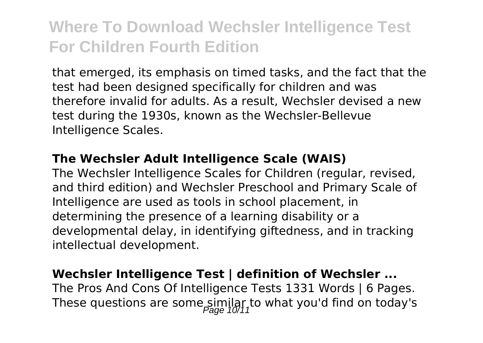that emerged, its emphasis on timed tasks, and the fact that the test had been designed specifically for children and was therefore invalid for adults. As a result, Wechsler devised a new test during the 1930s, known as the Wechsler-Bellevue Intelligence Scales.

#### **The Wechsler Adult Intelligence Scale (WAIS)**

The Wechsler Intelligence Scales for Children (regular, revised, and third edition) and Wechsler Preschool and Primary Scale of Intelligence are used as tools in school placement, in determining the presence of a learning disability or a developmental delay, in identifying giftedness, and in tracking intellectual development.

#### **Wechsler Intelligence Test | definition of Wechsler ...**

The Pros And Cons Of Intelligence Tests 1331 Words | 6 Pages. These questions are some similar to what you'd find on today's